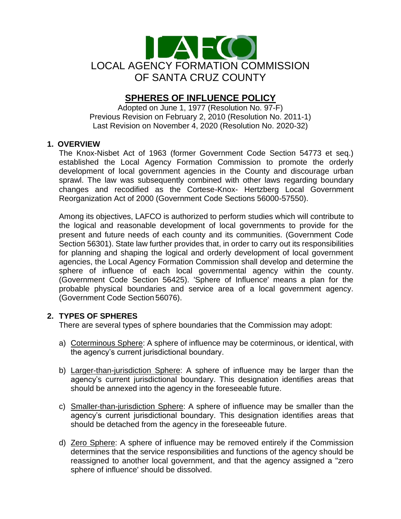

# **SPHERES OF INFLUENCE POLICY**

Adopted on June 1, 1977 (Resolution No. 97-F) Previous Revision on February 2, 2010 (Resolution No. 2011-1) Last Revision on November 4, 2020 (Resolution No. 2020-32)

## **1. OVERVIEW**

The Knox-Nisbet Act of 1963 (former Government Code Section 54773 et seq.) established the Local Agency Formation Commission to promote the orderly development of local government agencies in the County and discourage urban sprawl. The law was subsequently combined with other laws regarding boundary changes and recodified as the Cortese-Knox- Hertzberg Local Government Reorganization Act of 2000 (Government Code Sections 56000-57550).

Among its objectives, LAFCO is authorized to perform studies which will contribute to the logical and reasonable development of local governments to provide for the present and future needs of each county and its communities. (Government Code Section 56301). State law further provides that, in order to carry out its responsibilities for planning and shaping the logical and orderly development of local government agencies, the Local Agency Formation Commission shall develop and determine the sphere of influence of each local governmental agency within the county. (Government Code Section 56425). 'Sphere of Influence' means a plan for the probable physical boundaries and service area of a local government agency. (Government Code Section 56076).

#### **2. TYPES OF SPHERES**

There are several types of sphere boundaries that the Commission may adopt:

- a) Coterminous Sphere: A sphere of influence may be coterminous, or identical, with the agency's current jurisdictional boundary.
- b) Larger-than-jurisdiction Sphere: A sphere of influence may be larger than the agency's current jurisdictional boundary. This designation identifies areas that should be annexed into the agency in the foreseeable future.
- c) Smaller-than-jurisdiction Sphere: A sphere of influence may be smaller than the agency's current jurisdictional boundary. This designation identifies areas that should be detached from the agency in the foreseeable future.
- d) Zero Sphere: A sphere of influence may be removed entirely if the Commission determines that the service responsibilities and functions of the agency should be reassigned to another local government, and that the agency assigned a "zero sphere of influence' should be dissolved.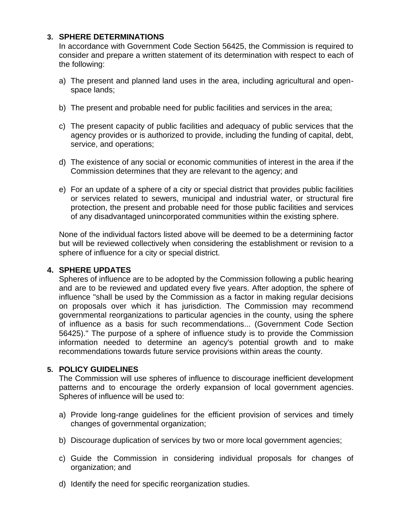### **3. SPHERE DETERMINATIONS**

In accordance with Government Code Section 56425, the Commission is required to consider and prepare a written statement of its determination with respect to each of the following:

- a) The present and planned land uses in the area, including agricultural and openspace lands;
- b) The present and probable need for public facilities and services in the area;
- c) The present capacity of public facilities and adequacy of public services that the agency provides or is authorized to provide, including the funding of capital, debt, service, and operations;
- d) The existence of any social or economic communities of interest in the area if the Commission determines that they are relevant to the agency; and
- e) For an update of a sphere of a city or special district that provides public facilities or services related to sewers, municipal and industrial water, or structural fire protection, the present and probable need for those public facilities and services of any disadvantaged unincorporated communities within the existing sphere.

None of the individual factors listed above will be deemed to be a determining factor but will be reviewed collectively when considering the establishment or revision to a sphere of influence for a city or special district.

#### **4. SPHERE UPDATES**

Spheres of influence are to be adopted by the Commission following a public hearing and are to be reviewed and updated every five years. After adoption, the sphere of influence "shall be used by the Commission as a factor in making regular decisions on proposals over which it has jurisdiction. The Commission may recommend governmental reorganizations to particular agencies in the county, using the sphere of influence as a basis for such recommendations... (Government Code Section 56425)." The purpose of a sphere of influence study is to provide the Commission information needed to determine an agency's potential growth and to make recommendations towards future service provisions within areas the county.

# **5. POLICY GUIDELINES**

The Commission will use spheres of influence to discourage inefficient development patterns and to encourage the orderly expansion of local government agencies. Spheres of influence will be used to:

- a) Provide long-range guidelines for the efficient provision of services and timely changes of governmental organization;
- b) Discourage duplication of services by two or more local government agencies;
- c) Guide the Commission in considering individual proposals for changes of organization; and
- d) Identify the need for specific reorganization studies.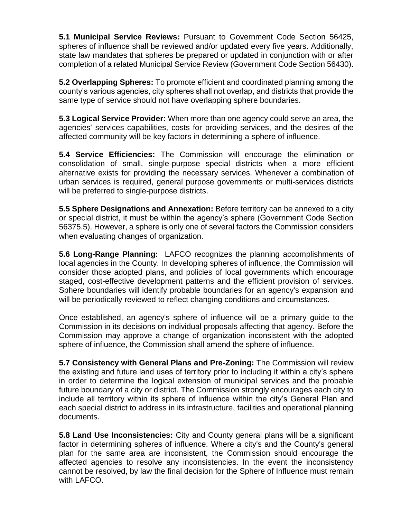**5.1 Municipal Service Reviews:** Pursuant to Government Code Section 56425, spheres of influence shall be reviewed and/or updated every five years. Additionally, state law mandates that spheres be prepared or updated in conjunction with or after completion of a related Municipal Service Review (Government Code Section 56430).

**5.2 Overlapping Spheres:** To promote efficient and coordinated planning among the county's various agencies, city spheres shall not overlap, and districts that provide the same type of service should not have overlapping sphere boundaries.

**5.3 Logical Service Provider:** When more than one agency could serve an area, the agencies' services capabilities, costs for providing services, and the desires of the affected community will be key factors in determining a sphere of influence.

**5.4 Service Efficiencies:** The Commission will encourage the elimination or consolidation of small, single-purpose special districts when a more efficient alternative exists for providing the necessary services. Whenever a combination of urban services is required, general purpose governments or multi-services districts will be preferred to single-purpose districts.

**5.5 Sphere Designations and Annexation:** Before territory can be annexed to a city or special district, it must be within the agency's sphere (Government Code Section 56375.5). However, a sphere is only one of several factors the Commission considers when evaluating changes of organization.

**5.6 Long-Range Planning:** LAFCO recognizes the planning accomplishments of local agencies in the County. In developing spheres of influence, the Commission will consider those adopted plans, and policies of local governments which encourage staged, cost-effective development patterns and the efficient provision of services. Sphere boundaries will identify probable boundaries for an agency's expansion and will be periodically reviewed to reflect changing conditions and circumstances.

Once established, an agency's sphere of influence will be a primary guide to the Commission in its decisions on individual proposals affecting that agency. Before the Commission may approve a change of organization inconsistent with the adopted sphere of influence, the Commission shall amend the sphere of influence.

**5.7 Consistency with General Plans and Pre-Zoning:** The Commission will review the existing and future land uses of territory prior to including it within a city's sphere in order to determine the logical extension of municipal services and the probable future boundary of a city or district. The Commission strongly encourages each city to include all territory within its sphere of influence within the city's General Plan and each special district to address in its infrastructure, facilities and operational planning documents.

**5.8 Land Use Inconsistencies:** City and County general plans will be a significant factor in determining spheres of influence. Where a city's and the County's general plan for the same area are inconsistent, the Commission should encourage the affected agencies to resolve any inconsistencies. In the event the inconsistency cannot be resolved, by law the final decision for the Sphere of Influence must remain with LAFCO.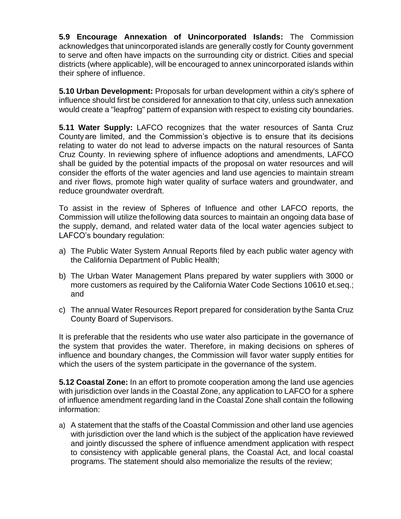**5.9 Encourage Annexation of Unincorporated Islands:** The Commission acknowledges that unincorporated islands are generally costly for County government to serve and often have impacts on the surrounding city or district. Cities and special districts (where applicable), will be encouraged to annex unincorporated islands within their sphere of influence.

**5.10 Urban Development:** Proposals for urban development within a city's sphere of influence should first be considered for annexation to that city, unless such annexation would create a "leapfrog" pattern of expansion with respect to existing city boundaries.

**5.11 Water Supply:** LAFCO recognizes that the water resources of Santa Cruz County are limited, and the Commission's objective is to ensure that its decisions relating to water do not lead to adverse impacts on the natural resources of Santa Cruz County. In reviewing sphere of influence adoptions and amendments, LAFCO shall be guided by the potential impacts of the proposal on water resources and will consider the efforts of the water agencies and land use agencies to maintain stream and river flows, promote high water quality of surface waters and groundwater, and reduce groundwater overdraft.

To assist in the review of Spheres of Influence and other LAFCO reports, the Commission will utilize thefollowing data sources to maintain an ongoing data base of the supply, demand, and related water data of the local water agencies subject to LAFCO's boundary regulation:

- a) The Public Water System Annual Reports filed by each public water agency with the California Department of Public Health;
- b) The Urban Water Management Plans prepared by water suppliers with 3000 or more customers as required by the California Water Code Sections 10610 et.seq.; and
- c) The annual Water Resources Report prepared for consideration bythe Santa Cruz County Board of Supervisors.

It is preferable that the residents who use water also participate in the governance of the system that provides the water. Therefore, in making decisions on spheres of influence and boundary changes, the Commission will favor water supply entities for which the users of the system participate in the governance of the system.

**5.12 Coastal Zone:** In an effort to promote cooperation among the land use agencies with jurisdiction over lands in the Coastal Zone, any application to LAFCO for a sphere of influence amendment regarding land in the Coastal Zone shall contain the following information:

a) A statement that the staffs of the Coastal Commission and other land use agencies with jurisdiction over the land which is the subject of the application have reviewed and jointly discussed the sphere of influence amendment application with respect to consistency with applicable general plans, the Coastal Act, and local coastal programs. The statement should also memorialize the results of the review;